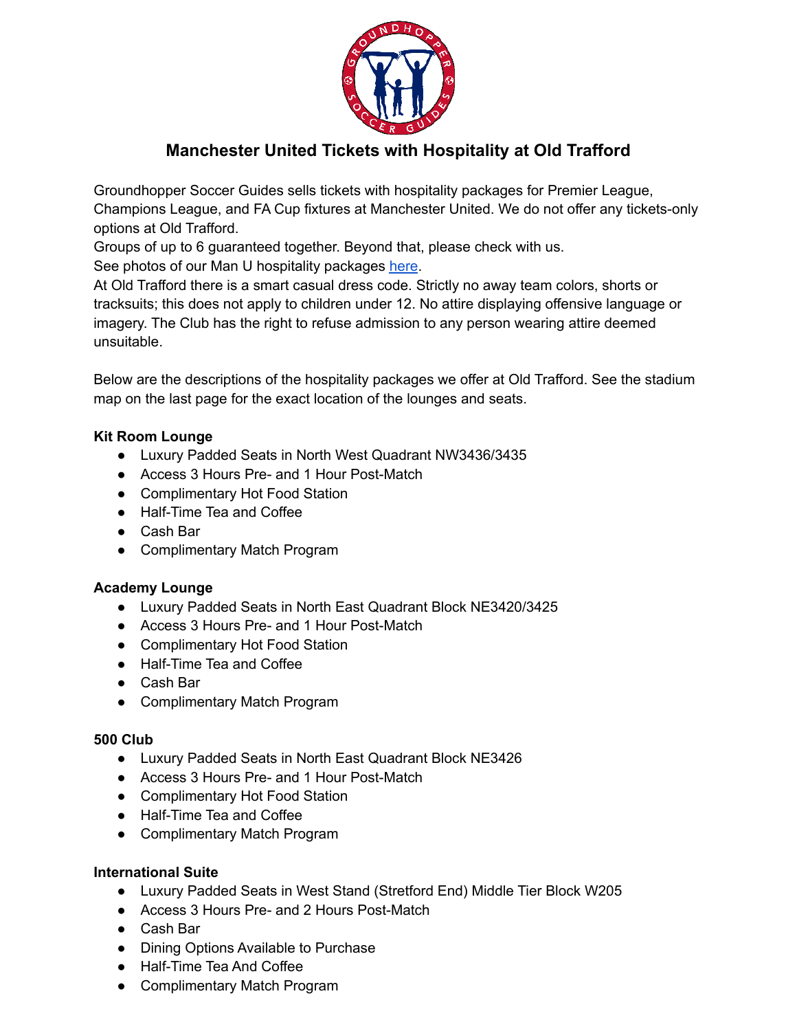

# **Manchester United Tickets with Hospitality at Old Trafford**

Groundhopper Soccer Guides sells tickets with hospitality packages for Premier League, Champions League, and FA Cup fixtures at Manchester United. We do not offer any tickets-only options at Old Trafford.

Groups of up to 6 guaranteed together. Beyond that, please check with us.

See photos of our Man U hospitality packages [here](https://groundhopperguides.com/manchester-united-hospitality/).

At Old Trafford there is a smart casual dress code. Strictly no away team colors, shorts or tracksuits; this does not apply to children under 12. No attire displaying offensive language or imagery. The Club has the right to refuse admission to any person wearing attire deemed unsuitable.

Below are the descriptions of the hospitality packages we offer at Old Trafford. See the stadium map on the last page for the exact location of the lounges and seats.

## **Kit Room Lounge**

- Luxury Padded Seats in North West Quadrant NW3436/3435
- Access 3 Hours Pre- and 1 Hour Post-Match
- Complimentary Hot Food Station
- Half-Time Tea and Coffee
- Cash Bar
- Complimentary Match Program

### **Academy Lounge**

- Luxury Padded Seats in North East Quadrant Block NE3420/3425
- Access 3 Hours Pre- and 1 Hour Post-Match
- Complimentary Hot Food Station
- Half-Time Tea and Coffee
- Cash Bar
- Complimentary Match Program

### **500 Club**

- Luxury Padded Seats in North East Quadrant Block NE3426
- Access 3 Hours Pre- and 1 Hour Post-Match
- Complimentary Hot Food Station
- Half-Time Tea and Coffee
- Complimentary Match Program

### **International Suite**

- Luxury Padded Seats in West Stand (Stretford End) Middle Tier Block W205
- Access 3 Hours Pre- and 2 Hours Post-Match
- Cash Bar
- Dining Options Available to Purchase
- Half-Time Tea And Coffee
- Complimentary Match Program